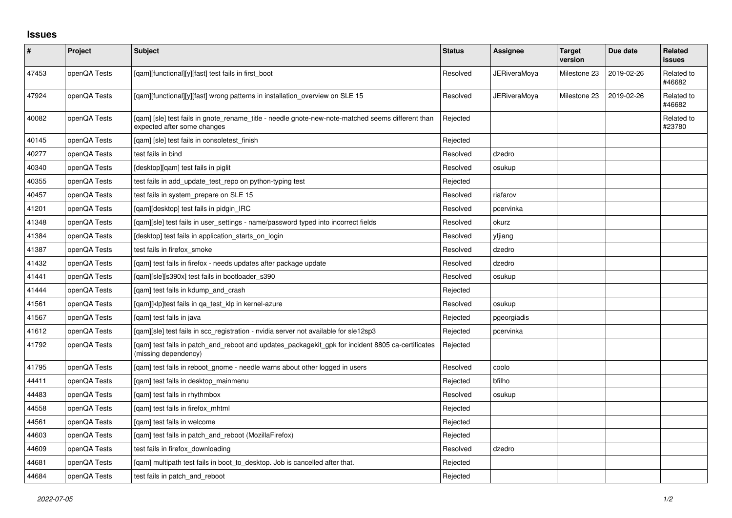## **Issues**

| $\sharp$ | Project      | Subject                                                                                                                          | <b>Status</b> | Assignee            | <b>Target</b><br>version | Due date   | Related<br><b>issues</b> |
|----------|--------------|----------------------------------------------------------------------------------------------------------------------------------|---------------|---------------------|--------------------------|------------|--------------------------|
| 47453    | openQA Tests | [qam][functional][y][fast] test fails in first_boot                                                                              | Resolved      | <b>JERiveraMoya</b> | Milestone 23             | 2019-02-26 | Related to<br>#46682     |
| 47924    | openQA Tests | [qam][functional][y][fast] wrong patterns in installation_overview on SLE 15                                                     | Resolved      | <b>JERiveraMoya</b> | Milestone 23             | 2019-02-26 | Related to<br>#46682     |
| 40082    | openQA Tests | [gam] [sle] test fails in gnote rename title - needle gnote-new-note-matched seems different than<br>expected after some changes | Rejected      |                     |                          |            | Related to<br>#23780     |
| 40145    | openQA Tests | [qam] [sle] test fails in consoletest_finish                                                                                     | Rejected      |                     |                          |            |                          |
| 40277    | openQA Tests | test fails in bind                                                                                                               | Resolved      | dzedro              |                          |            |                          |
| 40340    | openQA Tests | [desktop][qam] test fails in piglit                                                                                              | Resolved      | osukup              |                          |            |                          |
| 40355    | openQA Tests | test fails in add update test repo on python-typing test                                                                         | Rejected      |                     |                          |            |                          |
| 40457    | openQA Tests | test fails in system_prepare on SLE 15                                                                                           | Resolved      | riafarov            |                          |            |                          |
| 41201    | openQA Tests | [gam][desktop] test fails in pidgin IRC                                                                                          | Resolved      | pcervinka           |                          |            |                          |
| 41348    | openQA Tests | [qam][sle] test fails in user_settings - name/password typed into incorrect fields                                               | Resolved      | okurz               |                          |            |                          |
| 41384    | openQA Tests | [desktop] test fails in application_starts_on_login                                                                              | Resolved      | yfjiang             |                          |            |                          |
| 41387    | openQA Tests | test fails in firefox_smoke                                                                                                      | Resolved      | dzedro              |                          |            |                          |
| 41432    | openQA Tests | [gam] test fails in firefox - needs updates after package update                                                                 | Resolved      | dzedro              |                          |            |                          |
| 41441    | openQA Tests | [gam][sle][s390x] test fails in bootloader s390                                                                                  | Resolved      | osukup              |                          |            |                          |
| 41444    | openQA Tests | [gam] test fails in kdump and crash                                                                                              | Rejected      |                     |                          |            |                          |
| 41561    | openQA Tests | [gam][klp]test fails in ga test klp in kernel-azure                                                                              | Resolved      | osukup              |                          |            |                          |
| 41567    | openQA Tests | [qam] test fails in java                                                                                                         | Rejected      | pgeorgiadis         |                          |            |                          |
| 41612    | openQA Tests | [gam][sle] test fails in scc registration - nvidia server not available for sle12sp3                                             | Rejected      | pcervinka           |                          |            |                          |
| 41792    | openQA Tests | [qam] test fails in patch_and_reboot and updates_packagekit_gpk for incident 8805 ca-certificates<br>(missing dependency)        | Rejected      |                     |                          |            |                          |
| 41795    | openQA Tests | [gam] test fails in reboot gnome - needle warns about other logged in users                                                      | Resolved      | coolo               |                          |            |                          |
| 44411    | openQA Tests | [qam] test fails in desktop_mainmenu                                                                                             | Rejected      | bfilho              |                          |            |                          |
| 44483    | openQA Tests | [gam] test fails in rhythmbox                                                                                                    | Resolved      | osukup              |                          |            |                          |
| 44558    | openQA Tests | [qam] test fails in firefox_mhtml                                                                                                | Rejected      |                     |                          |            |                          |
| 44561    | openQA Tests | [qam] test fails in welcome                                                                                                      | Rejected      |                     |                          |            |                          |
| 44603    | openQA Tests | [qam] test fails in patch_and_reboot (MozillaFirefox)                                                                            | Rejected      |                     |                          |            |                          |
| 44609    | openQA Tests | test fails in firefox downloading                                                                                                | Resolved      | dzedro              |                          |            |                          |
| 44681    | openQA Tests | [qam] multipath test fails in boot_to_desktop. Job is cancelled after that.                                                      | Rejected      |                     |                          |            |                          |
| 44684    | openQA Tests | test fails in patch and reboot                                                                                                   | Rejected      |                     |                          |            |                          |